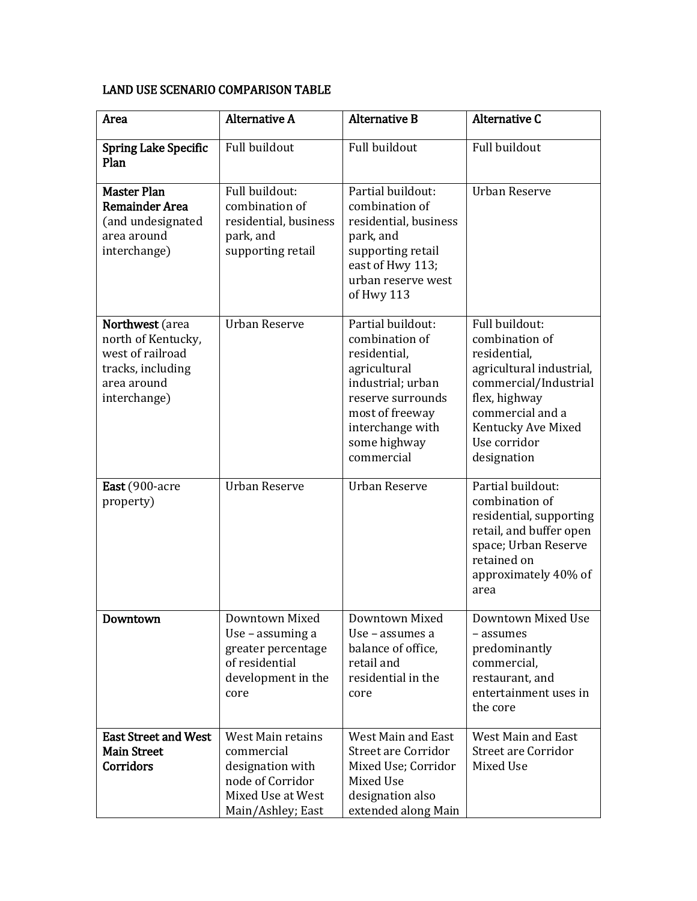## LAND USE SCENARIO COMPARISON TABLE

| Area                                                                                                          | <b>Alternative A</b>                                                                                                     | <b>Alternative B</b>                                                                                                                                                               | <b>Alternative C</b>                                                                                                                                                                            |
|---------------------------------------------------------------------------------------------------------------|--------------------------------------------------------------------------------------------------------------------------|------------------------------------------------------------------------------------------------------------------------------------------------------------------------------------|-------------------------------------------------------------------------------------------------------------------------------------------------------------------------------------------------|
| <b>Spring Lake Specific</b><br>Plan                                                                           | Full buildout                                                                                                            | Full buildout                                                                                                                                                                      | Full buildout                                                                                                                                                                                   |
| <b>Master Plan</b><br><b>Remainder Area</b><br>(and undesignated<br>area around<br>interchange)               | Full buildout:<br>combination of<br>residential, business<br>park, and<br>supporting retail                              | Partial buildout:<br>combination of<br>residential, business<br>park, and<br>supporting retail<br>east of Hwy 113;<br>urban reserve west<br>of Hwy 113                             | <b>Urban Reserve</b>                                                                                                                                                                            |
| Northwest (area<br>north of Kentucky,<br>west of railroad<br>tracks, including<br>area around<br>interchange) | <b>Urban Reserve</b>                                                                                                     | Partial buildout:<br>combination of<br>residential,<br>agricultural<br>industrial; urban<br>reserve surrounds<br>most of freeway<br>interchange with<br>some highway<br>commercial | Full buildout:<br>combination of<br>residential,<br>agricultural industrial,<br>commercial/Industrial<br>flex, highway<br>commercial and a<br>Kentucky Ave Mixed<br>Use corridor<br>designation |
| East (900-acre<br>property)                                                                                   | <b>Urban Reserve</b>                                                                                                     | <b>Urban Reserve</b>                                                                                                                                                               | Partial buildout:<br>combination of<br>residential, supporting<br>retail, and buffer open<br>space; Urban Reserve<br>retained on<br>approximately 40% of<br>area                                |
| Downtown                                                                                                      | Downtown Mixed<br>Use – assuming a<br>greater percentage<br>of residential<br>development in the<br>core                 | Downtown Mixed<br>Use – assumes a<br>balance of office,<br>retail and<br>residential in the<br>core                                                                                | Downtown Mixed Use<br>- assumes<br>predominantly<br>commercial,<br>restaurant, and<br>entertainment uses in<br>the core                                                                         |
| <b>East Street and West</b><br><b>Main Street</b><br>Corridors                                                | <b>West Main retains</b><br>commercial<br>designation with<br>node of Corridor<br>Mixed Use at West<br>Main/Ashley; East | West Main and East<br><b>Street are Corridor</b><br>Mixed Use; Corridor<br>Mixed Use<br>designation also<br>extended along Main                                                    | West Main and East<br><b>Street are Corridor</b><br>Mixed Use                                                                                                                                   |